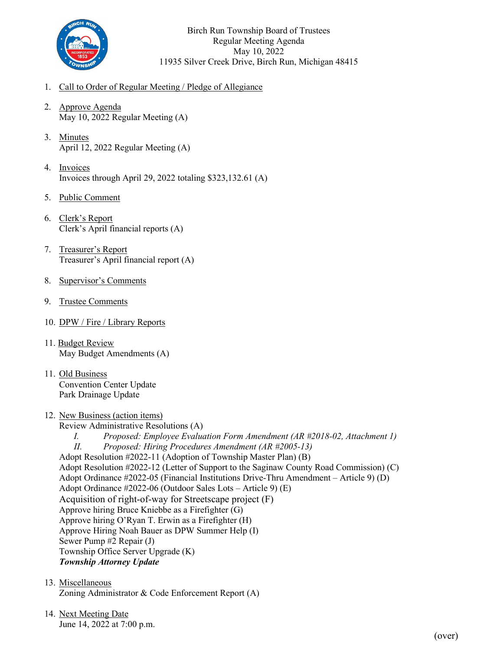

Birch Run Township Board of Trustees Regular Meeting Agenda May 10, 2022 11935 Silver Creek Drive, Birch Run, Michigan 48415

- 1. Call to Order of Regular Meeting / Pledge of Allegiance
- 2. Approve Agenda May 10, 2022 Regular Meeting (A)
- 3. Minutes April 12, 2022 Regular Meeting (A)
- 4. Invoices Invoices through April 29, 2022 totaling \$323,132.61 (A)
- 5. Public Comment
- 6. Clerk's Report Clerk's April financial reports (A)
- 7. Treasurer's Report Treasurer's April financial report (A)
- 8. Supervisor's Comments
- 9. Trustee Comments
- 10. DPW / Fire / Library Reports
- 11. Budget Review May Budget Amendments (A)
- 11. Old Business Convention Center Update Park Drainage Update
- 12. New Business (action items)
	- Review Administrative Resolutions (A)
	- *I. Proposed: Employee Evaluation Form Amendment (AR #2018-02, Attachment 1) II. Proposed: Hiring Procedures Amendment (AR #2005-13)* Adopt Resolution #2022-11 (Adoption of Township Master Plan) (B)

Adopt Resolution #2022-12 (Letter of Support to the Saginaw County Road Commission) (C) Adopt Ordinance #2022-05 (Financial Institutions Drive-Thru Amendment – Article 9) (D) Adopt Ordinance #2022-06 (Outdoor Sales Lots – Article 9) (E) Acquisition of right-of-way for Streetscape project (F) Approve hiring Bruce Kniebbe as a Firefighter (G) Approve hiring O'Ryan T. Erwin as a Firefighter (H) Approve Hiring Noah Bauer as DPW Summer Help (I) Sewer Pump #2 Repair (J) Township Office Server Upgrade (K) *Township Attorney Update*

- 13. Miscellaneous Zoning Administrator & Code Enforcement Report (A)
- 14. Next Meeting Date June 14, 2022 at 7:00 p.m.